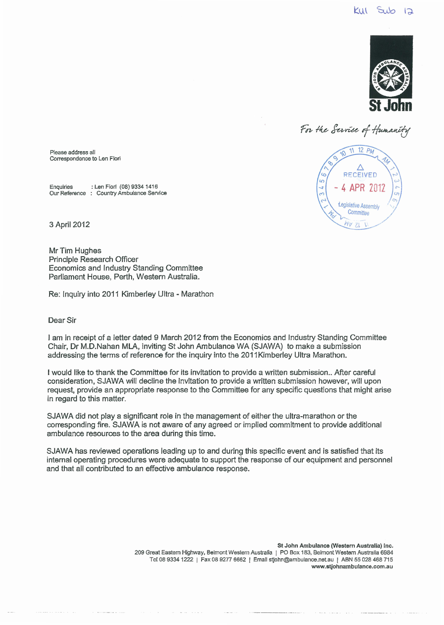

For the Service of Humanit



Please address all Correspondence to Len Fiori

Enquiries :Len Fiori (08) 9334 1416 Our Reference : Country Ambulance Service

3 April2012

Mr Tim Hughes Principle Research Officer Economics and Industry Standing Committee Parliament House, Perth, Western Australia.

Re: Inquiry into 2011 Kimberley Ultra- Marathon

## Dear Sir

I am in receipt of a letter dated 9 March 2012 from the Economics and Industry Standing Committee Chair, Dr M.D. Nahan MLA, inviting St John Ambulance WA (SJAWA) to make a submission addressing the terms of reference for the inquiry into the 2011Kimberley Ultra Marathon.

I would like to thank the Committee for its invitation to provide a written submission .. After careful consideration, SJAWA will decline the invitation *to* provide a written submission however, will upon request, provide an appropriate response to the Committee for any specific questions that might arise in regard to this matter.

SJAWA did not play a significant role in the management of either the ultra-marathon or the corresponding fire. SJAWA is not aware of any agreed or implied commitment to provide additional ambulance resources to the area during this time.

SJAWA has reviewed operations leading up to and during this specific event and is satisfied that its internal operating procedures were adequate to support the response of our equipment and personnel and that all contributed to an effective ambulance response.

> St John Ambulance (Western Australia) Inc. 209 Great Eastern Highway, Belmont Western Australia 1 PO Box 183, Belmont Western Australia 6984 Tel 08 9334 1222 | Fax 08 9277 6662 | Email stjohn@ambulance.net.au | ABN 55 028 468 715 www.stjohnambulance.com.au